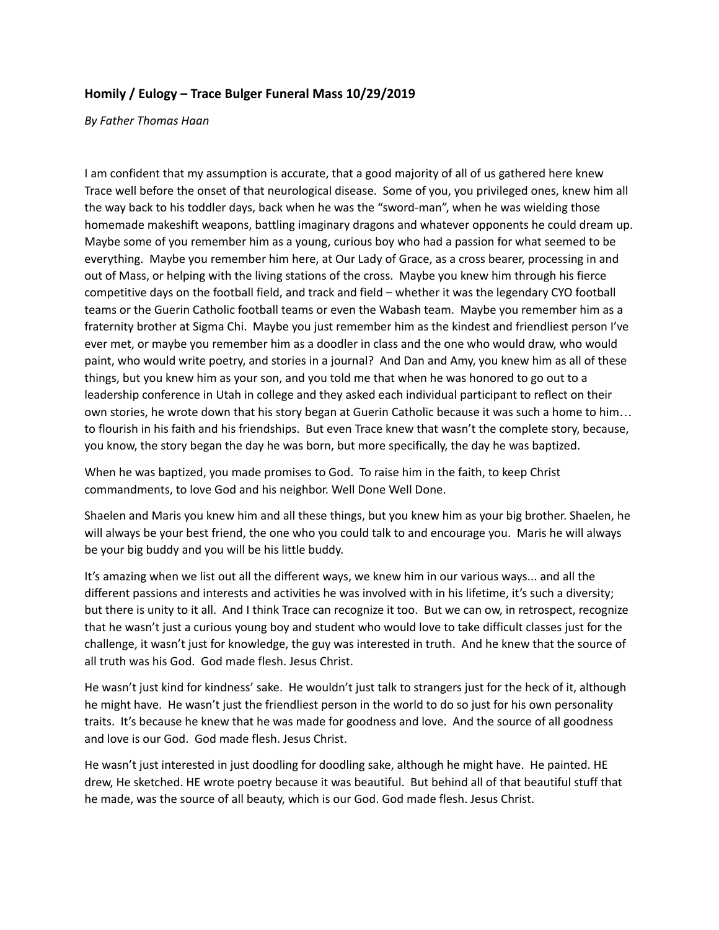## **Homily / Eulogy – Trace Bulger Funeral Mass 10/29/2019**

*By Father Thomas Haan*

I am confident that my assumption is accurate, that a good majority of all of us gathered here knew Trace well before the onset of that neurological disease. Some of you, you privileged ones, knew him all the way back to his toddler days, back when he was the "sword-man", when he was wielding those homemade makeshift weapons, battling imaginary dragons and whatever opponents he could dream up. Maybe some of you remember him as a young, curious boy who had a passion for what seemed to be everything. Maybe you remember him here, at Our Lady of Grace, as a cross bearer, processing in and out of Mass, or helping with the living stations of the cross. Maybe you knew him through his fierce competitive days on the football field, and track and field – whether it was the legendary CYO football teams or the Guerin Catholic football teams or even the Wabash team. Maybe you remember him as a fraternity brother at Sigma Chi. Maybe you just remember him as the kindest and friendliest person I've ever met, or maybe you remember him as a doodler in class and the one who would draw, who would paint, who would write poetry, and stories in a journal? And Dan and Amy, you knew him as all of these things, but you knew him as your son, and you told me that when he was honored to go out to a leadership conference in Utah in college and they asked each individual participant to reflect on their own stories, he wrote down that his story began at Guerin Catholic because it was such a home to him… to flourish in his faith and his friendships. But even Trace knew that wasn't the complete story, because, you know, the story began the day he was born, but more specifically, the day he was baptized.

When he was baptized, you made promises to God. To raise him in the faith, to keep Christ commandments, to love God and his neighbor. Well Done Well Done.

Shaelen and Maris you knew him and all these things, but you knew him as your big brother. Shaelen, he will always be your best friend, the one who you could talk to and encourage you. Maris he will always be your big buddy and you will be his little buddy.

It's amazing when we list out all the different ways, we knew him in our various ways... and all the different passions and interests and activities he was involved with in his lifetime, it's such a diversity; but there is unity to it all. And I think Trace can recognize it too. But we can ow, in retrospect, recognize that he wasn't just a curious young boy and student who would love to take difficult classes just for the challenge, it wasn't just for knowledge, the guy was interested in truth. And he knew that the source of all truth was his God. God made flesh. Jesus Christ.

He wasn't just kind for kindness' sake. He wouldn't just talk to strangers just for the heck of it, although he might have. He wasn't just the friendliest person in the world to do so just for his own personality traits. It's because he knew that he was made for goodness and love. And the source of all goodness and love is our God. God made flesh. Jesus Christ.

He wasn't just interested in just doodling for doodling sake, although he might have. He painted. HE drew, He sketched. HE wrote poetry because it was beautiful. But behind all of that beautiful stuff that he made, was the source of all beauty, which is our God. God made flesh. Jesus Christ.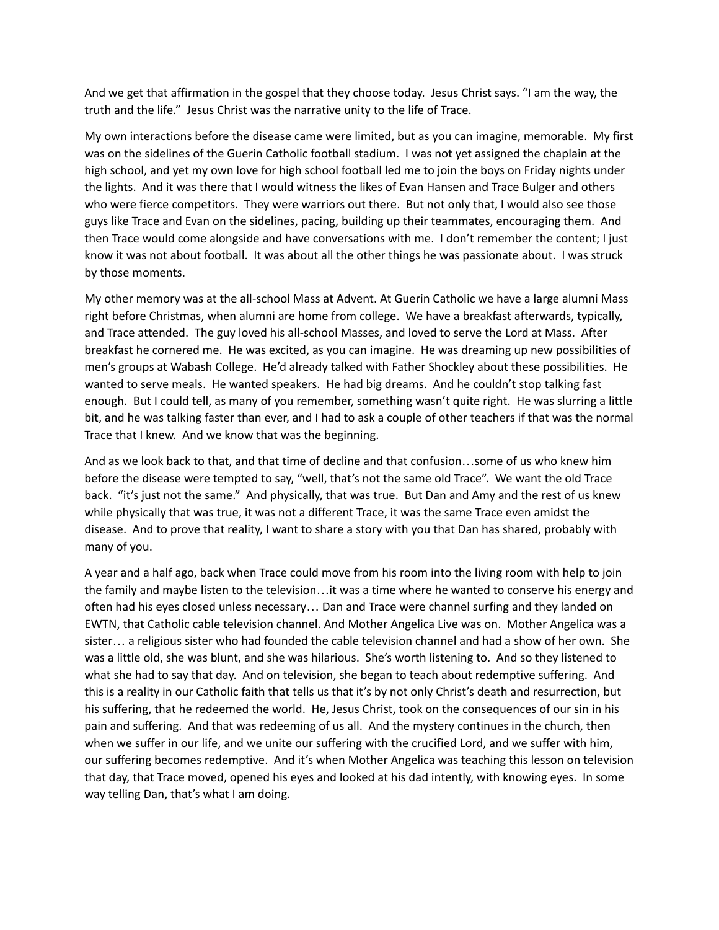And we get that affirmation in the gospel that they choose today. Jesus Christ says. "I am the way, the truth and the life." Jesus Christ was the narrative unity to the life of Trace.

My own interactions before the disease came were limited, but as you can imagine, memorable. My first was on the sidelines of the Guerin Catholic football stadium. I was not yet assigned the chaplain at the high school, and yet my own love for high school football led me to join the boys on Friday nights under the lights. And it was there that I would witness the likes of Evan Hansen and Trace Bulger and others who were fierce competitors. They were warriors out there. But not only that, I would also see those guys like Trace and Evan on the sidelines, pacing, building up their teammates, encouraging them. And then Trace would come alongside and have conversations with me. I don't remember the content; I just know it was not about football. It was about all the other things he was passionate about. I was struck by those moments.

My other memory was at the all-school Mass at Advent. At Guerin Catholic we have a large alumni Mass right before Christmas, when alumni are home from college. We have a breakfast afterwards, typically, and Trace attended. The guy loved his all-school Masses, and loved to serve the Lord at Mass. After breakfast he cornered me. He was excited, as you can imagine. He was dreaming up new possibilities of men's groups at Wabash College. He'd already talked with Father Shockley about these possibilities. He wanted to serve meals. He wanted speakers. He had big dreams. And he couldn't stop talking fast enough. But I could tell, as many of you remember, something wasn't quite right. He was slurring a little bit, and he was talking faster than ever, and I had to ask a couple of other teachers if that was the normal Trace that I knew. And we know that was the beginning.

And as we look back to that, and that time of decline and that confusion…some of us who knew him before the disease were tempted to say, "well, that's not the same old Trace". We want the old Trace back. "it's just not the same." And physically, that was true. But Dan and Amy and the rest of us knew while physically that was true, it was not a different Trace, it was the same Trace even amidst the disease. And to prove that reality, I want to share a story with you that Dan has shared, probably with many of you.

A year and a half ago, back when Trace could move from his room into the living room with help to join the family and maybe listen to the television…it was a time where he wanted to conserve his energy and often had his eyes closed unless necessary… Dan and Trace were channel surfing and they landed on EWTN, that Catholic cable television channel. And Mother Angelica Live was on. Mother Angelica was a sister… a religious sister who had founded the cable television channel and had a show of her own. She was a little old, she was blunt, and she was hilarious. She's worth listening to. And so they listened to what she had to say that day. And on television, she began to teach about redemptive suffering. And this is a reality in our Catholic faith that tells us that it's by not only Christ's death and resurrection, but his suffering, that he redeemed the world. He, Jesus Christ, took on the consequences of our sin in his pain and suffering. And that was redeeming of us all. And the mystery continues in the church, then when we suffer in our life, and we unite our suffering with the crucified Lord, and we suffer with him, our suffering becomes redemptive. And it's when Mother Angelica was teaching this lesson on television that day, that Trace moved, opened his eyes and looked at his dad intently, with knowing eyes. In some way telling Dan, that's what I am doing.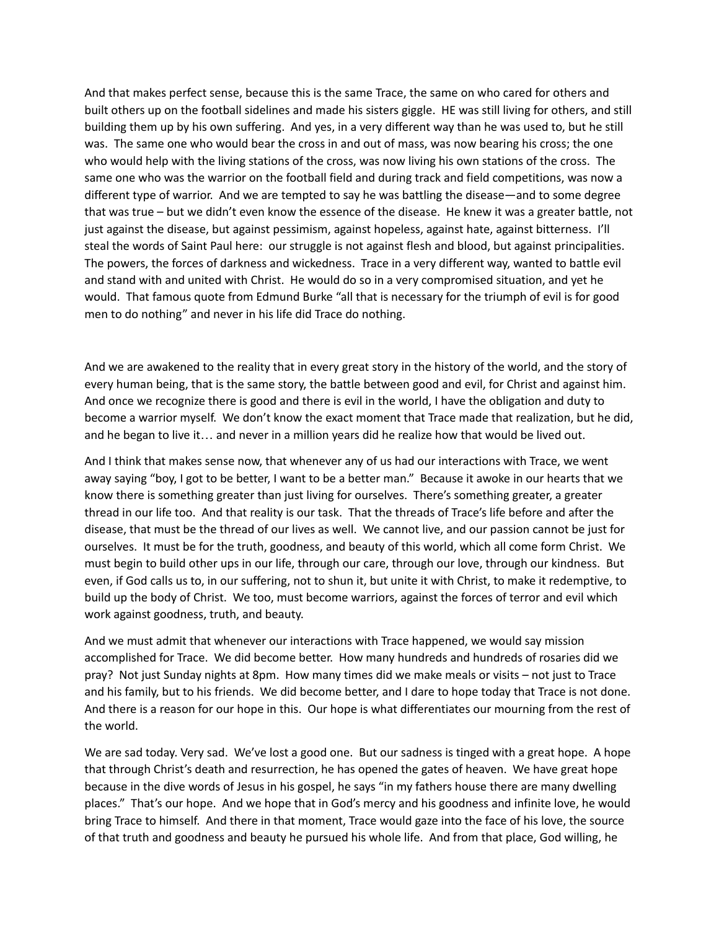And that makes perfect sense, because this is the same Trace, the same on who cared for others and built others up on the football sidelines and made his sisters giggle. HE was still living for others, and still building them up by his own suffering. And yes, in a very different way than he was used to, but he still was. The same one who would bear the cross in and out of mass, was now bearing his cross; the one who would help with the living stations of the cross, was now living his own stations of the cross. The same one who was the warrior on the football field and during track and field competitions, was now a different type of warrior. And we are tempted to say he was battling the disease—and to some degree that was true – but we didn't even know the essence of the disease. He knew it was a greater battle, not just against the disease, but against pessimism, against hopeless, against hate, against bitterness. I'll steal the words of Saint Paul here: our struggle is not against flesh and blood, but against principalities. The powers, the forces of darkness and wickedness. Trace in a very different way, wanted to battle evil and stand with and united with Christ. He would do so in a very compromised situation, and yet he would. That famous quote from Edmund Burke "all that is necessary for the triumph of evil is for good men to do nothing" and never in his life did Trace do nothing.

And we are awakened to the reality that in every great story in the history of the world, and the story of every human being, that is the same story, the battle between good and evil, for Christ and against him. And once we recognize there is good and there is evil in the world, I have the obligation and duty to become a warrior myself. We don't know the exact moment that Trace made that realization, but he did, and he began to live it… and never in a million years did he realize how that would be lived out.

And I think that makes sense now, that whenever any of us had our interactions with Trace, we went away saying "boy, I got to be better, I want to be a better man." Because it awoke in our hearts that we know there is something greater than just living for ourselves. There's something greater, a greater thread in our life too. And that reality is our task. That the threads of Trace's life before and after the disease, that must be the thread of our lives as well. We cannot live, and our passion cannot be just for ourselves. It must be for the truth, goodness, and beauty of this world, which all come form Christ. We must begin to build other ups in our life, through our care, through our love, through our kindness. But even, if God calls us to, in our suffering, not to shun it, but unite it with Christ, to make it redemptive, to build up the body of Christ. We too, must become warriors, against the forces of terror and evil which work against goodness, truth, and beauty.

And we must admit that whenever our interactions with Trace happened, we would say mission accomplished for Trace. We did become better. How many hundreds and hundreds of rosaries did we pray? Not just Sunday nights at 8pm. How many times did we make meals or visits – not just to Trace and his family, but to his friends. We did become better, and I dare to hope today that Trace is not done. And there is a reason for our hope in this. Our hope is what differentiates our mourning from the rest of the world.

We are sad today. Very sad. We've lost a good one. But our sadness is tinged with a great hope. A hope that through Christ's death and resurrection, he has opened the gates of heaven. We have great hope because in the dive words of Jesus in his gospel, he says "in my fathers house there are many dwelling places." That's our hope. And we hope that in God's mercy and his goodness and infinite love, he would bring Trace to himself. And there in that moment, Trace would gaze into the face of his love, the source of that truth and goodness and beauty he pursued his whole life. And from that place, God willing, he